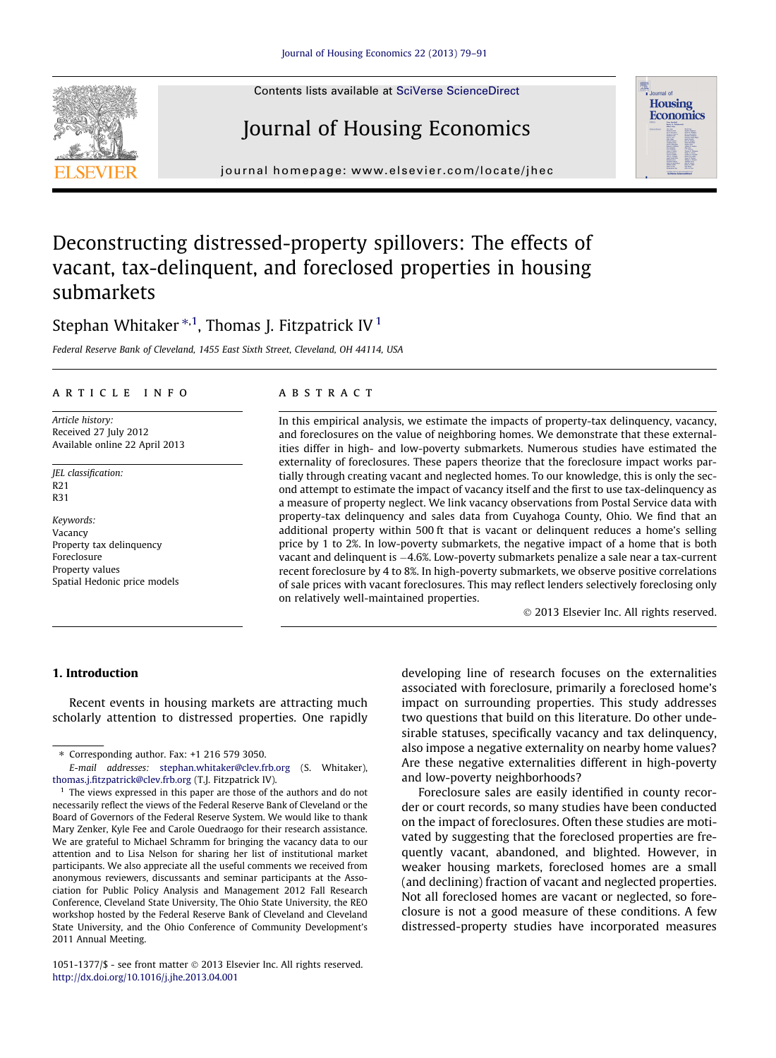Contents lists available at [SciVerse ScienceDirect](http://www.sciencedirect.com/science/journal/10511377)

## Journal of Housing Economics

journal homepage: [www.elsevier.com/locate/jhec](http://www.elsevier.com/locate/jhec)

### Deconstructing distressed-property spillovers: The effects of vacant, tax-delinquent, and foreclosed properties in housing submarkets

### Stephan Whitaker  $^{\ast,1}$ , Thomas J. Fitzpatrick IV  $^1$

Federal Reserve Bank of Cleveland, 1455 East Sixth Street, Cleveland, OH 44114, USA

#### article info

Article history: Received 27 July 2012 Available online 22 April 2013

JEL classification: R21 R31

Keywords: Vacancy Property tax delinquency Foreclosure Property values Spatial Hedonic price models

#### **ABSTRACT**

In this empirical analysis, we estimate the impacts of property-tax delinquency, vacancy, and foreclosures on the value of neighboring homes. We demonstrate that these externalities differ in high- and low-poverty submarkets. Numerous studies have estimated the externality of foreclosures. These papers theorize that the foreclosure impact works partially through creating vacant and neglected homes. To our knowledge, this is only the second attempt to estimate the impact of vacancy itself and the first to use tax-delinquency as a measure of property neglect. We link vacancy observations from Postal Service data with property-tax delinquency and sales data from Cuyahoga County, Ohio. We find that an additional property within 500 ft that is vacant or delinquent reduces a home's selling price by 1 to 2%. In low-poverty submarkets, the negative impact of a home that is both vacant and delinquent is -4.6%. Low-poverty submarkets penalize a sale near a tax-current recent foreclosure by 4 to 8%. In high-poverty submarkets, we observe positive correlations of sale prices with vacant foreclosures. This may reflect lenders selectively foreclosing only on relatively well-maintained properties.

- 2013 Elsevier Inc. All rights reserved.

#### 1. Introduction

Recent events in housing markets are attracting much scholarly attention to distressed properties. One rapidly developing line of research focuses on the externalities associated with foreclosure, primarily a foreclosed home's impact on surrounding properties. This study addresses two questions that build on this literature. Do other undesirable statuses, specifically vacancy and tax delinquency, also impose a negative externality on nearby home values? Are these negative externalities different in high-poverty and low-poverty neighborhoods?

Foreclosure sales are easily identified in county recorder or court records, so many studies have been conducted on the impact of foreclosures. Often these studies are motivated by suggesting that the foreclosed properties are frequently vacant, abandoned, and blighted. However, in weaker housing markets, foreclosed homes are a small (and declining) fraction of vacant and neglected properties. Not all foreclosed homes are vacant or neglected, so foreclosure is not a good measure of these conditions. A few distressed-property studies have incorporated measures





<sup>⇑</sup> Corresponding author. Fax: +1 216 579 3050.

E-mail addresses: [stephan.whitaker@clev.frb.org](mailto:stephan.whitaker@clev.frb.org) (S. Whitaker), [thomas.j.fitzpatrick@clev.frb.org](mailto:thomas.j.fitzpatrick@clev.frb.org) (T.J. Fitzpatrick IV).

<sup>&</sup>lt;sup>1</sup> The views expressed in this paper are those of the authors and do not necessarily reflect the views of the Federal Reserve Bank of Cleveland or the Board of Governors of the Federal Reserve System. We would like to thank Mary Zenker, Kyle Fee and Carole Ouedraogo for their research assistance. We are grateful to Michael Schramm for bringing the vacancy data to our attention and to Lisa Nelson for sharing her list of institutional market participants. We also appreciate all the useful comments we received from anonymous reviewers, discussants and seminar participants at the Association for Public Policy Analysis and Management 2012 Fall Research Conference, Cleveland State University, The Ohio State University, the REO workshop hosted by the Federal Reserve Bank of Cleveland and Cleveland State University, and the Ohio Conference of Community Development's 2011 Annual Meeting.

<sup>1051-1377/\$ -</sup> see front matter © 2013 Elsevier Inc. All rights reserved. <http://dx.doi.org/10.1016/j.jhe.2013.04.001>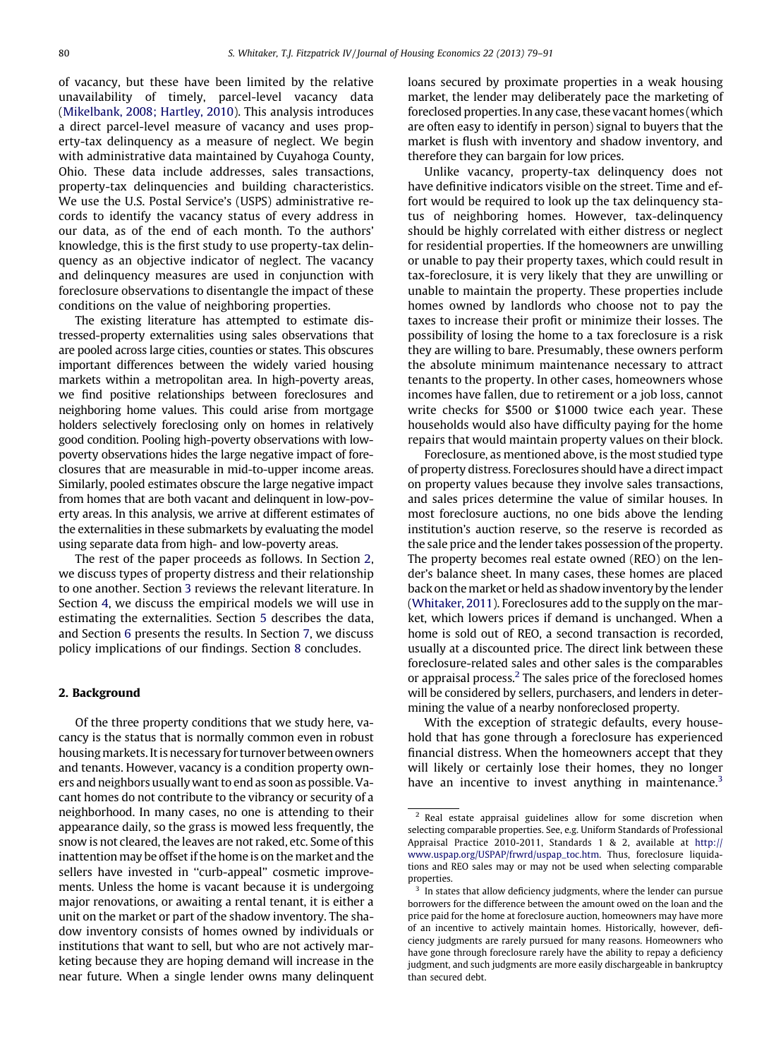of vacancy, but these have been limited by the relative unavailability of timely, parcel-level vacancy data [\(Mikelbank, 2008; Hartley, 2010](#page--1-0)). This analysis introduces a direct parcel-level measure of vacancy and uses property-tax delinquency as a measure of neglect. We begin with administrative data maintained by Cuyahoga County, Ohio. These data include addresses, sales transactions, property-tax delinquencies and building characteristics. We use the U.S. Postal Service's (USPS) administrative records to identify the vacancy status of every address in our data, as of the end of each month. To the authors' knowledge, this is the first study to use property-tax delinquency as an objective indicator of neglect. The vacancy and delinquency measures are used in conjunction with foreclosure observations to disentangle the impact of these conditions on the value of neighboring properties.

The existing literature has attempted to estimate distressed-property externalities using sales observations that are pooled across large cities, counties or states. This obscures important differences between the widely varied housing markets within a metropolitan area. In high-poverty areas, we find positive relationships between foreclosures and neighboring home values. This could arise from mortgage holders selectively foreclosing only on homes in relatively good condition. Pooling high-poverty observations with lowpoverty observations hides the large negative impact of foreclosures that are measurable in mid-to-upper income areas. Similarly, pooled estimates obscure the large negative impact from homes that are both vacant and delinquent in low-poverty areas. In this analysis, we arrive at different estimates of the externalities in these submarkets by evaluating the model using separate data from high- and low-poverty areas.

The rest of the paper proceeds as follows. In Section 2, we discuss types of property distress and their relationship to one another. Section 3 reviews the relevant literature. In Section 4, we discuss the empirical models we will use in estimating the externalities. Section 5 describes the data, and Section 6 presents the results. In Section 7, we discuss policy implications of our findings. Section 8 concludes.

#### 2. Background

Of the three property conditions that we study here, vacancy is the status that is normally common even in robust housingmarkets. It is necessary for turnover between owners and tenants. However, vacancy is a condition property owners and neighbors usually want to end as soon as possible. Vacant homes do not contribute to the vibrancy or security of a neighborhood. In many cases, no one is attending to their appearance daily, so the grass is mowed less frequently, the snow is not cleared, the leaves are not raked, etc. Some of this inattention may be offset if the home is on the market and the sellers have invested in ''curb-appeal'' cosmetic improvements. Unless the home is vacant because it is undergoing major renovations, or awaiting a rental tenant, it is either a unit on the market or part of the shadow inventory. The shadow inventory consists of homes owned by individuals or institutions that want to sell, but who are not actively marketing because they are hoping demand will increase in the near future. When a single lender owns many delinquent loans secured by proximate properties in a weak housing market, the lender may deliberately pace the marketing of foreclosed properties. In any case, these vacant homes (which are often easy to identify in person) signal to buyers that the market is flush with inventory and shadow inventory, and therefore they can bargain for low prices.

Unlike vacancy, property-tax delinquency does not have definitive indicators visible on the street. Time and effort would be required to look up the tax delinquency status of neighboring homes. However, tax-delinquency should be highly correlated with either distress or neglect for residential properties. If the homeowners are unwilling or unable to pay their property taxes, which could result in tax-foreclosure, it is very likely that they are unwilling or unable to maintain the property. These properties include homes owned by landlords who choose not to pay the taxes to increase their profit or minimize their losses. The possibility of losing the home to a tax foreclosure is a risk they are willing to bare. Presumably, these owners perform the absolute minimum maintenance necessary to attract tenants to the property. In other cases, homeowners whose incomes have fallen, due to retirement or a job loss, cannot write checks for \$500 or \$1000 twice each year. These households would also have difficulty paying for the home repairs that would maintain property values on their block.

Foreclosure, as mentioned above, is the most studied type of property distress. Foreclosures should have a direct impact on property values because they involve sales transactions, and sales prices determine the value of similar houses. In most foreclosure auctions, no one bids above the lending institution's auction reserve, so the reserve is recorded as the sale price and the lender takes possession of the property. The property becomes real estate owned (REO) on the lender's balance sheet. In many cases, these homes are placed back on the market or held as shadow inventory by the lender [\(Whitaker, 2011\)](#page--1-0). Foreclosures add to the supply on the market, which lowers prices if demand is unchanged. When a home is sold out of REO, a second transaction is recorded, usually at a discounted price. The direct link between these foreclosure-related sales and other sales is the comparables or appraisal process.<sup>2</sup> The sales price of the foreclosed homes will be considered by sellers, purchasers, and lenders in determining the value of a nearby nonforeclosed property.

With the exception of strategic defaults, every household that has gone through a foreclosure has experienced financial distress. When the homeowners accept that they will likely or certainly lose their homes, they no longer have an incentive to invest anything in maintenance.<sup>3</sup>

<sup>2</sup> Real estate appraisal guidelines allow for some discretion when selecting comparable properties. See, e.g. Uniform Standards of Professional Appraisal Practice 2010-2011, Standards 1 & 2, available at [http://](http://www.uspap.org/USPAP/frwrd/uspap_toc.htm) [www.uspap.org/USPAP/frwrd/uspap\\_toc.htm.](http://www.uspap.org/USPAP/frwrd/uspap_toc.htm) Thus, foreclosure liquidations and REO sales may or may not be used when selecting comparable properties.

 $3$  In states that allow deficiency judgments, where the lender can pursue borrowers for the difference between the amount owed on the loan and the price paid for the home at foreclosure auction, homeowners may have more of an incentive to actively maintain homes. Historically, however, deficiency judgments are rarely pursued for many reasons. Homeowners who have gone through foreclosure rarely have the ability to repay a deficiency judgment, and such judgments are more easily dischargeable in bankruptcy than secured debt.